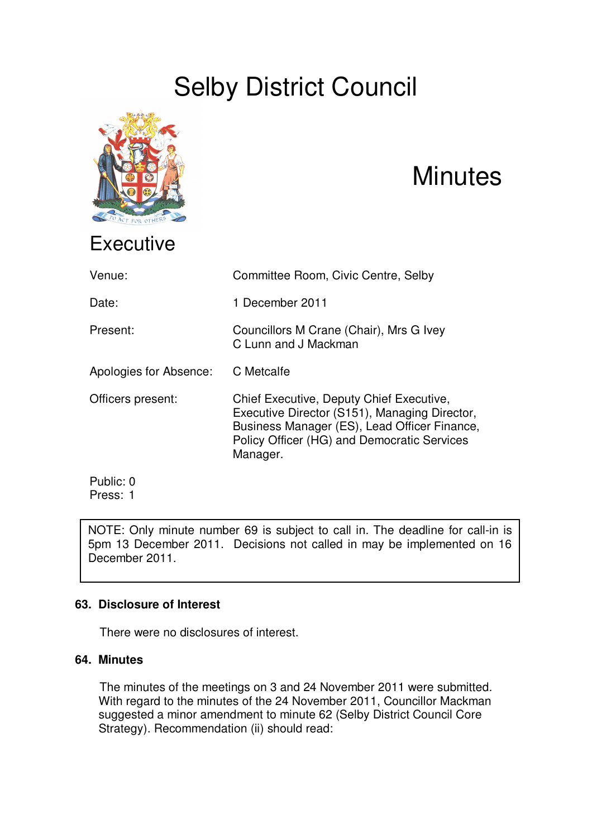# Selby District Council



# **Minutes**

| Venue:                 | Committee Room, Civic Centre, Selby                                                                                                                                                                  |
|------------------------|------------------------------------------------------------------------------------------------------------------------------------------------------------------------------------------------------|
| Date:                  | 1 December 2011                                                                                                                                                                                      |
| Present:               | Councillors M Crane (Chair), Mrs G Ivey<br>C Lunn and J Mackman                                                                                                                                      |
| Apologies for Absence: | C Metcalfe                                                                                                                                                                                           |
| Officers present:      | Chief Executive, Deputy Chief Executive,<br>Executive Director (S151), Managing Director,<br>Business Manager (ES), Lead Officer Finance,<br>Policy Officer (HG) and Democratic Services<br>Manager. |
| Public: 0              |                                                                                                                                                                                                      |

Press: 1

NOTE: Only minute number 69 is subject to call in. The deadline for call-in is 5pm 13 December 2011. Decisions not called in may be implemented on 16 December 2011.

# **63. Disclosure of Interest**

There were no disclosures of interest.

## **64. Minutes**

The minutes of the meetings on 3 and 24 November 2011 were submitted. With regard to the minutes of the 24 November 2011, Councillor Mackman suggested a minor amendment to minute 62 (Selby District Council Core Strategy). Recommendation (ii) should read: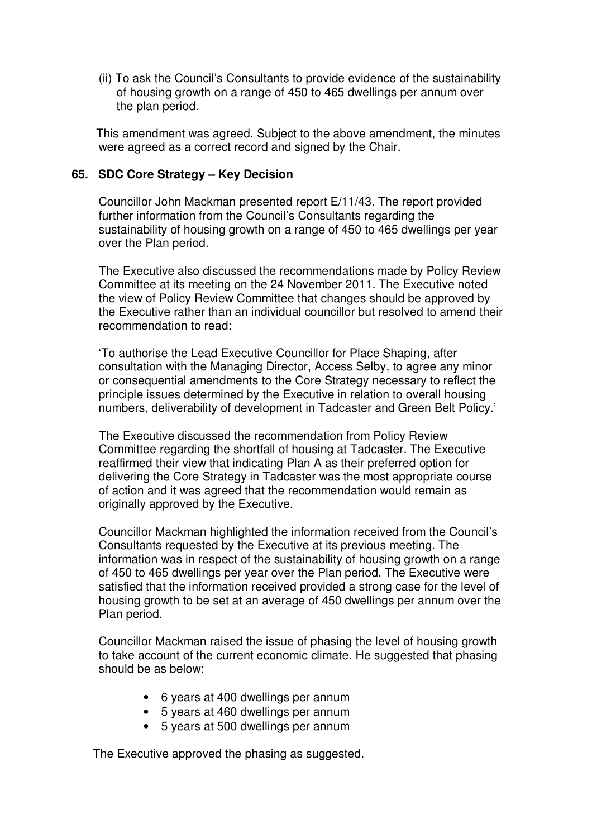(ii) To ask the Council's Consultants to provide evidence of the sustainability of housing growth on a range of 450 to 465 dwellings per annum over the plan period.

This amendment was agreed. Subject to the above amendment, the minutes were agreed as a correct record and signed by the Chair.

## **65. SDC Core Strategy – Key Decision**

Councillor John Mackman presented report E/11/43. The report provided further information from the Council's Consultants regarding the sustainability of housing growth on a range of 450 to 465 dwellings per year over the Plan period.

The Executive also discussed the recommendations made by Policy Review Committee at its meeting on the 24 November 2011. The Executive noted the view of Policy Review Committee that changes should be approved by the Executive rather than an individual councillor but resolved to amend their recommendation to read:

'To authorise the Lead Executive Councillor for Place Shaping, after consultation with the Managing Director, Access Selby, to agree any minor or consequential amendments to the Core Strategy necessary to reflect the principle issues determined by the Executive in relation to overall housing numbers, deliverability of development in Tadcaster and Green Belt Policy.'

The Executive discussed the recommendation from Policy Review Committee regarding the shortfall of housing at Tadcaster. The Executive reaffirmed their view that indicating Plan A as their preferred option for delivering the Core Strategy in Tadcaster was the most appropriate course of action and it was agreed that the recommendation would remain as originally approved by the Executive.

Councillor Mackman highlighted the information received from the Council's Consultants requested by the Executive at its previous meeting. The information was in respect of the sustainability of housing growth on a range of 450 to 465 dwellings per year over the Plan period. The Executive were satisfied that the information received provided a strong case for the level of housing growth to be set at an average of 450 dwellings per annum over the Plan period.

Councillor Mackman raised the issue of phasing the level of housing growth to take account of the current economic climate. He suggested that phasing should be as below:

- 6 years at 400 dwellings per annum
- 5 years at 460 dwellings per annum
- 5 years at 500 dwellings per annum

The Executive approved the phasing as suggested.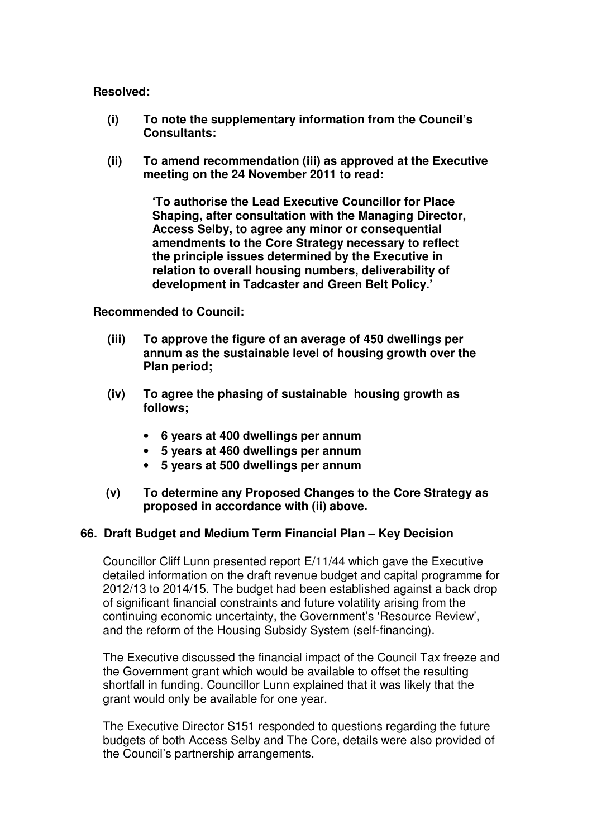#### **Resolved:**

- **(i) To note the supplementary information from the Council's Consultants:**
- **(ii) To amend recommendation (iii) as approved at the Executive meeting on the 24 November 2011 to read:**

**'To authorise the Lead Executive Councillor for Place Shaping, after consultation with the Managing Director, Access Selby, to agree any minor or consequential amendments to the Core Strategy necessary to reflect the principle issues determined by the Executive in relation to overall housing numbers, deliverability of development in Tadcaster and Green Belt Policy.'**

### **Recommended to Council:**

- **(iii) To approve the figure of an average of 450 dwellings per annum as the sustainable level of housing growth over the Plan period;**
- **(iv) To agree the phasing of sustainable housing growth as follows;**
	- **6 years at 400 dwellings per annum**
	- **5 years at 460 dwellings per annum**
	- **5 years at 500 dwellings per annum**
- **(v) To determine any Proposed Changes to the Core Strategy as proposed in accordance with (ii) above.**

## **66. Draft Budget and Medium Term Financial Plan – Key Decision**

Councillor Cliff Lunn presented report E/11/44 which gave the Executive detailed information on the draft revenue budget and capital programme for 2012/13 to 2014/15. The budget had been established against a back drop of significant financial constraints and future volatility arising from the continuing economic uncertainty, the Government's 'Resource Review', and the reform of the Housing Subsidy System (self-financing).

The Executive discussed the financial impact of the Council Tax freeze and the Government grant which would be available to offset the resulting shortfall in funding. Councillor Lunn explained that it was likely that the grant would only be available for one year.

The Executive Director S151 responded to questions regarding the future budgets of both Access Selby and The Core, details were also provided of the Council's partnership arrangements.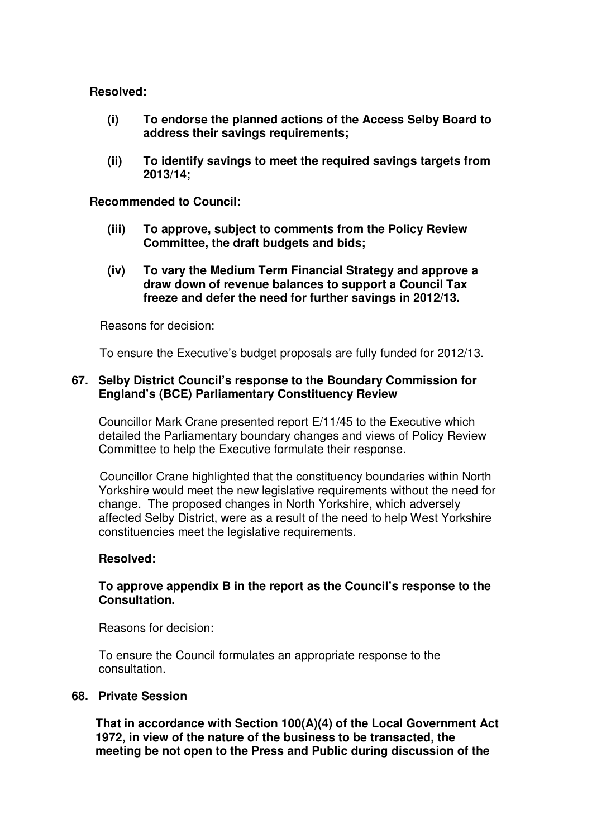## **Resolved:**

- **(i) To endorse the planned actions of the Access Selby Board to address their savings requirements;**
- **(ii) To identify savings to meet the required savings targets from 2013/14;**

#### **Recommended to Council:**

- **(iii) To approve, subject to comments from the Policy Review Committee, the draft budgets and bids;**
- **(iv) To vary the Medium Term Financial Strategy and approve a draw down of revenue balances to support a Council Tax freeze and defer the need for further savings in 2012/13.**

### Reasons for decision:

To ensure the Executive's budget proposals are fully funded for 2012/13.

## **67. Selby District Council's response to the Boundary Commission for England's (BCE) Parliamentary Constituency Review**

Councillor Mark Crane presented report E/11/45 to the Executive which detailed the Parliamentary boundary changes and views of Policy Review Committee to help the Executive formulate their response.

Councillor Crane highlighted that the constituency boundaries within North Yorkshire would meet the new legislative requirements without the need for change. The proposed changes in North Yorkshire, which adversely affected Selby District, were as a result of the need to help West Yorkshire constituencies meet the legislative requirements.

#### **Resolved:**

## **To approve appendix B in the report as the Council's response to the Consultation.**

Reasons for decision:

To ensure the Council formulates an appropriate response to the consultation.

#### **68. Private Session**

**That in accordance with Section 100(A)(4) of the Local Government Act 1972, in view of the nature of the business to be transacted, the meeting be not open to the Press and Public during discussion of the**